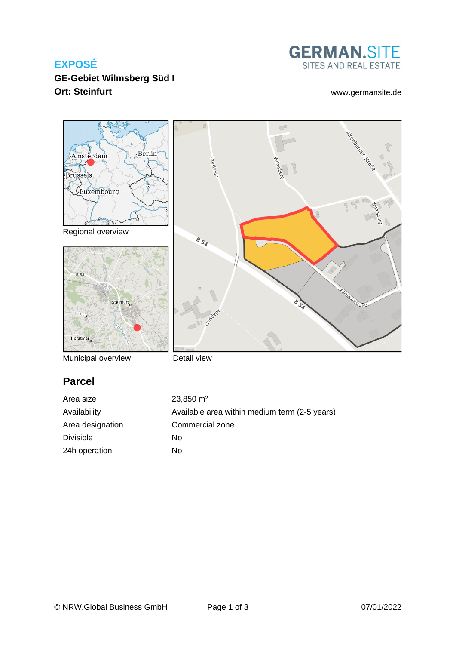## **EXPOSÉ**

**GE-Gebiet Wilmsberg Süd I Ort: Steinfurt** [www.germansite.de](http://www.germansite.de)

# **GERMAN.SITE** SITES AND REAL ESTATE



Municipal overview

Detail view

# **Parcel**

Area size 23,850 m<sup>2</sup> Availability Available area within medium term (2-5 years) Area designation Commercial zone Divisible No 24h operation No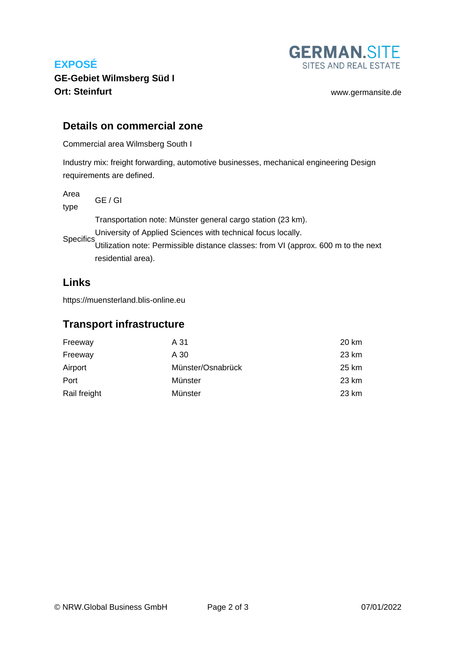# **EXPOSÉ**



**GE-Gebiet Wilmsberg Süd I Ort: Steinfurt** [www.germansite.de](http://www.germansite.de)

#### **Details on commercial zone**

Commercial area Wilmsberg South I

Industry mix: freight forwarding, automotive businesses, mechanical engineering Design requirements are defined.

Area type GE / GI

**Specifics** Transportation note: Münster general cargo station (23 km). University of Applied Sciences with technical focus locally. Utilization note: Permissible distance classes: from VI (approx. 600 m to the next residential area).

## **Links**

<https://muensterland.blis-online.eu>

#### **Transport infrastructure**

| Freeway      | A 31              | 20 km |
|--------------|-------------------|-------|
| Freeway      | A 30              | 23 km |
| Airport      | Münster/Osnabrück | 25 km |
| Port         | Münster           | 23 km |
| Rail freight | Münster           | 23 km |